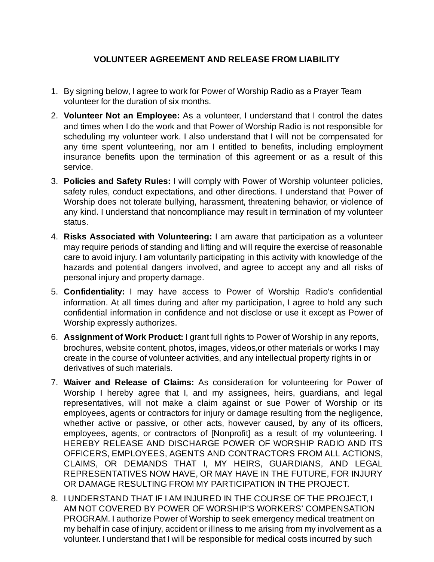## **VOLUNTEER AGREEMENT AND RELEASE FROM LIABILITY**

- 1. By signing below, I agree to work for Power of Worship Radio as a Prayer Team volunteer for the duration of six months.
- **Volunteer Not an Employee:** As a volunteer, I understand that I control the dates 2. and times when I do the work and that Power of Worship Radio is not responsible for scheduling my volunteer work. I also understand that I will not be compensated for any time spent volunteering, nor am I entitled to benefits, including employment insurance benefits upon the termination of this agreement or as a result of this service.
- **Policies and Safety Rules:** I will comply with Power of Worship volunteer policies, 3. safety rules, conduct expectations, and other directions. I understand that Power of Worship does not tolerate bullying, harassment, threatening behavior, or violence of any kind. I understand that noncompliance may result in termination of my volunteer status.
- **Risks Associated with Volunteering:** I am aware that participation as a volunteer 4. may require periods of standing and lifting and will require the exercise of reasonable care to avoid injury. I am voluntarily participating in this activity with knowledge of the hazards and potential dangers involved, and agree to accept any and all risks of personal injury and property damage.
- **Confidentiality:** I may have access to Power of Worship Radio's confidential 5. information. At all times during and after my participation, I agree to hold any such confidential information in confidence and not disclose or use it except as Power of Worship expressly authorizes.
- **Assignment of Work Product:** I grant full rights to Power of Worship in any reports, 6. brochures, website content, photos, images, videos,or other materials or works I may create in the course of volunteer activities, and any intellectual property rights in or derivatives of such materials.
- **Waiver and Release of Claims:** As consideration for volunteering for Power of 7. Worship I hereby agree that I, and my assignees, heirs, guardians, and legal representatives, will not make a claim against or sue Power of Worship or its employees, agents or contractors for injury or damage resulting from the negligence, whether active or passive, or other acts, however caused, by any of its officers, employees, agents, or contractors of [Nonprofit] as a result of my volunteering. I HEREBY RELEASE AND DISCHARGE POWER OF WORSHIP RADIO AND ITS OFFICERS, EMPLOYEES, AGENTS AND CONTRACTORS FROM ALL ACTIONS, CLAIMS, OR DEMANDS THAT I, MY HEIRS, GUARDIANS, AND LEGAL REPRESENTATIVES NOW HAVE, OR MAY HAVE IN THE FUTURE, FOR INJURY OR DAMAGE RESULTING FROM MY PARTICIPATION IN THE PROJECT.
- 8. I UNDERSTAND THAT IF I AM INJURED IN THE COURSE OF THE PROJECT, I AM NOT COVERED BY POWER OF WORSHIP'S WORKERS' COMPENSATION PROGRAM. I authorize Power of Worship to seek emergency medical treatment on my behalf in case of injury, accident or illness to me arising from my involvement as a volunteer. I understand that I will be responsible for medical costs incurred by such